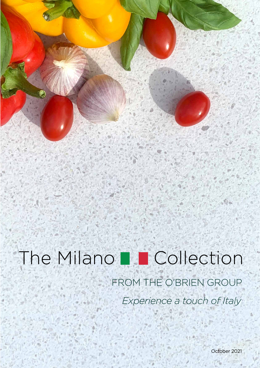# FROM THE O'BRIEN GROUP *Experience a touch of Italy* The Milano **D** Collection

October 2021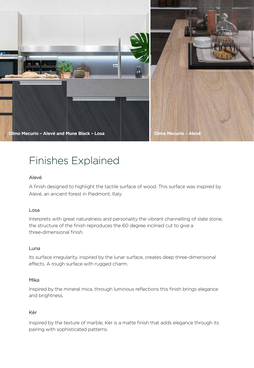

## Finishes Explained

### Alevé

A finish designed to highlight the tactile surface of wood. This surface was inspired by Alevé, an ancient forest in Piedmont, Italy.

### Losa

Interprets with great naturalness and personality the vibrant channelling of slate stone, the structure of the finish reproduces the 60 degree inclined cut to give a three-dimensional finish.

### Luna

Its surface irregularity, inspired by the lunar surface, creates deep three-dimensional effects. A rough surface with rugged charm.

### Mika

Inspired by the mineral mica, through luminous reflections this finish brings elegance and brightness.

### Kèr

Inspired by the texture of marble, Kèr is a matte finish that adds elegance through its pairing with sophisticated patterns.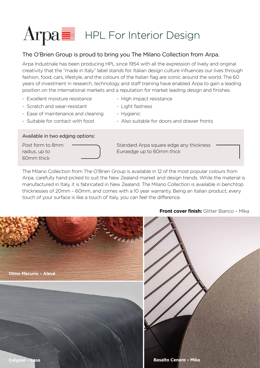# $\text{Arg}$  HPL For Interior Design

### The O'Brien Group is proud to bring you The Milano Collection from Arpa.

Arpa Industriale has been producing HPL since 1954 with all the expression of lively and original creativity that the "made in Italy" label stands for. Italian design culture influences our lives through fashion, food, cars, lifestyle, and the colours of the Italian flag are iconic around the world. The 60 years of investment in research, technology and staff training have enabled Arpa to gain a leading position on the international markets and a reputation for market leading design and finishes.

- Excellent moisture resistance High impact resistance
- Scratch and wear-resistant Light fastness
- Ease of maintenance and cleaning Hygienic
- 

### Available in two edging options:

60mm thick

- 
- 
- 
- Suitable for contact with food Also suitable for doors and drawer fronts

Post form to 8mm  $\qquad \qquad \qquad$ Standard Arpa square edge any thickness radius, up to **Euroedge** up to 60mm thick

The Milano Collection from The O'Brien Group is available in 12 of the most popular colours from Arpa, carefully hand picked to suit the New Zealand market and design trends. While the material is manufactured in Italy, it is fabricated in New Zealand. The Milano Collection is available in benchtop thicknesses of 20mm – 60mm, and comes with a 10 year warranty. Being an Italian product, every touch of your surface is like a touch of Italy, you can feel the difference.



### **Front cover finish:** Glitter Bianco - Mika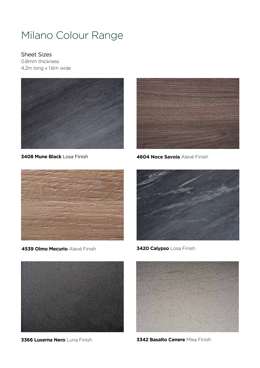## Milano Colour Range

Sheet Sizes 0.8mm thickness 4.2m long x 1.6m wide





**3408 Mune Black** Losa Finish **4604 Noce Savoia** Alevé Finish



**4539 Olmo Mecurio** Alevé Finish **3420 Calypso** Losa Finish







**3366 Luserna Nero** Luna Finish **3342 Basalto Cenere** Mika Finish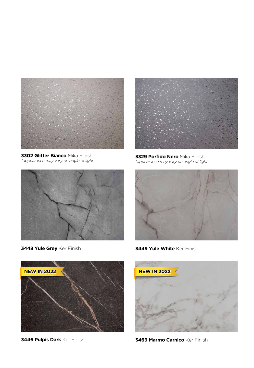

**3302 Glitter Bianco** Mika Finish \*appearance may vary on angle of light



**3329 Porfido Nero** Mika Finish \*appearance may vary on angle of light





**3448 Yule Grey** Kèr Finish **3449 Yule White** Kèr Finish





**3446 Pulpis Dark** Kèr Finish **3469 Marmo Carnico** Kèr Finish